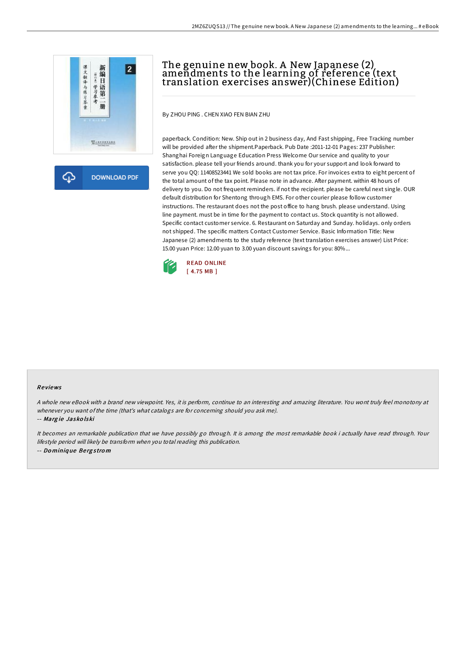

क़ **DOWNLOAD PDF** 

# The genuine new book. A New Japanese (2) amendments to the learning of reference (text translation exercises answer)(Chinese Edition)

By ZHOU PING . CHEN XIAO FEN BIAN ZHU

paperback. Condition: New. Ship out in 2 business day, And Fast shipping, Free Tracking number will be provided after the shipment.Paperback. Pub Date :2011-12-01 Pages: 237 Publisher: Shanghai Foreign Language Education Press Welcome Our service and quality to your satisfaction. please tell your friends around. thank you for your support and look forward to serve you QQ: 11408523441 We sold books are not tax price. For invoices extra to eight percent of the total amount of the tax point. Please note in advance. After payment. within 48 hours of delivery to you. Do not frequent reminders. if not the recipient. please be careful next single. OUR default distribution for Shentong through EMS. For other courier please follow customer instructions. The restaurant does not the post office to hang brush. please understand. Using line payment. must be in time for the payment to contact us. Stock quantity is not allowed. Specific contact customer service. 6. Restaurant on Saturday and Sunday. holidays. only orders not shipped. The specific matters Contact Customer Service. Basic Information Title: New Japanese (2) amendments to the study reference (text translation exercises answer) List Price: 15.00 yuan Price: 12.00 yuan to 3.00 yuan discount savings for you: 80%...



### Re views

<sup>A</sup> whole new eBook with <sup>a</sup> brand new viewpoint. Yes, it is perform, continue to an interesting and amazing literature. You wont truly feel monotony at whenever you want ofthe time (that's what catalogs are for concerning should you ask me).

#### -- Marg ie Jasko lski

It becomes an remarkable publication that we have possibly go through. It is among the most remarkable book i actually have read through. Your lifestyle period will likely be transform when you total reading this publication. -- Do miniq ue Be rg <sup>s</sup> tro <sup>m</sup>